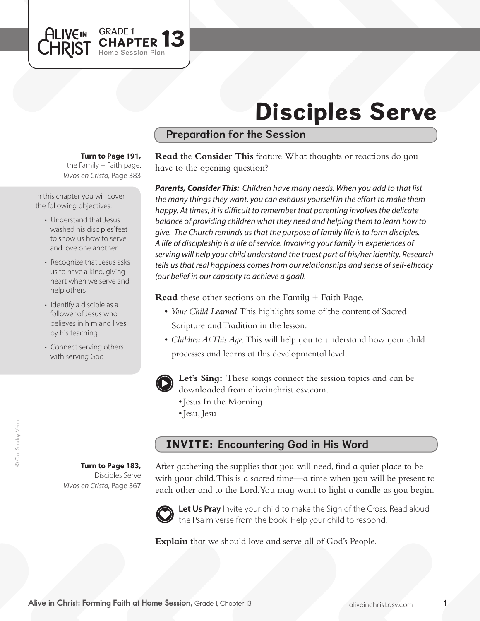

# Disciples Serve

### Preparation for the Session

#### **Turn to Page 191,**

*Vivos en Cristo,* Page 383 the Family  $+$  Faith page.

In this chapter you will cover the following objectives:

- Understand that Jesus washed his disciples'feet to show us how to serve and love one another
- Recognize that Jesus asks us to have a kind, giving heart when we serve and help others
- Identify a disciple as a follower of Jesus who believes in him and lives by his teaching
- Connect serving others with serving God

**Read** the **Consider This** feature. What thoughts or reactions do you have to the opening question?

*Parents, Consider This: Children have many needs. When you add to that list the many things they want, you can exhaust yourself in the effort to make them happy. At times, it is difficult to remember that parenting involves the delicate balance of providing children what they need and helping them to learn how to give. The Church reminds us that the purpose of family life is to form disciples. A life of discipleship is a life of service. Involving your family in experiences of serving will help your child understand the truest part of his/her identity. Research tells us that real happiness comes from our relationships and sense of self-efficacy (our belief in our capacity to achieve a goal).* 

**Read** these other sections on the Family + Faith Page.

- *Your Child Learned*. This highlights some of the content of Sacred Scripture and Tradition in the lesson.
- • *Children At This Age.* This will help you to understand how your child processes and learns at this developmental level.



**Let's Sing:** These songs connect the session topics and can be downloaded from aliveinchrist.osv.com.

- • Jesus In the Morning
- • Jesu, Jesu

### INVITE: Encountering God in His Word

**Turn to Page 183,** Disciples Serve *Vivos en Cristo,* Page 367

After gathering the supplies that you will need, find a quiet place to be with your child. This is a sacred time—a time when you will be present to each other and to the Lord. You may want to light a candle as you begin.



Let Us Pray Invite your child to make the Sign of the Cross. Read aloud the Psalm verse from the book. Help your child to respond.

**Explain** that we should love and serve all of God's People.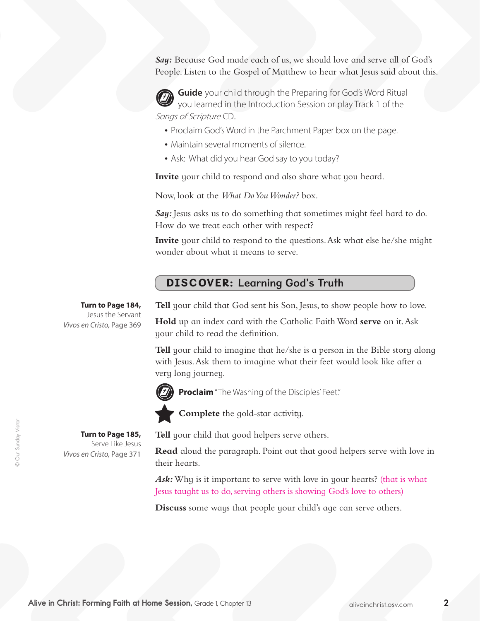*Say:* Because God made each of us, we should love and serve all of God's People. Listen to the Gospel of Matthew to hear what Jesus said about this.

**Guide** your child through the Preparing for God's Word Ritual you learned in the Introduction Session or play Track 1 of the Songs of Scripture CD.

- Proclaim God's Word in the Parchment Paper box on the page.
- Maintain several moments of silence.
- Ask: What did you hear God say to you today?

**Invite** your child to respond and also share what you heard.

Now, look at the *What Do You Wonder?* box.

*Say:* Jesus asks us to do something that sometimes might feel hard to do. How do we treat each other with respect?

**Invite** your child to respond to the questions. Ask what else he/she might wonder about what it means to serve.

#### DISCOVER: Learning God's Truth

**Turn to Page 184,** Jesus the Servant *Vivos en Cristo,* Page 369

> **Turn to Page 185,**  Serve Like Jesus

*Vivos en Cristo,* Page 371

**Tell** your child that God sent his Son, Jesus, to show people how to love.

**Hold** up an index card with the Catholic Faith Word **serve** on it.Ask your child to read the definition.

**Tell** your child to imagine that he/she is a person in the Bible story along with Jesus.Ask them to imagine what their feet would look like after a very long journey.



**Proclaim** "The Washing of the Disciples' Feet."



**Complete** the gold-star activity.

**Tell** your child that good helpers serve others.

**Read** aloud the paragraph. Point out that good helpers serve with love in their hearts.

*Ask:* Why is it important to serve with love in your hearts? (that is what Jesus taught us to do, serving others is showing God's love to others)

**Discuss** some ways that people your child's age can serve others.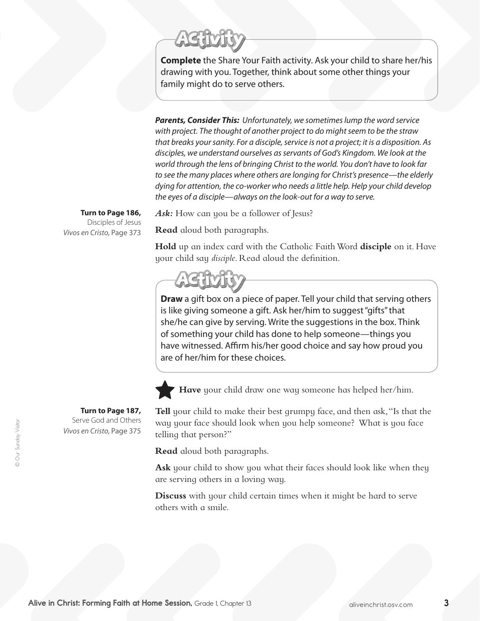**Complete** the Share Your Faith activity. Ask your child to share her/his drawing with you. Together, think about some other things your family might do to serve others.

*Parents, Consider This: Unfortunately, we sometimes lump the word service with project. The thought of another project to do might seem to be the straw that breaks your sanity. For a disciple, service is not a project; it is a disposition. As disciples, we understand ourselves as servants of God's Kingdom. We look at the world through the lens of bringing Christ to the world. You don't have to look far to see the many places where others are longing for Christ's presence—the elderly dying for attention, the co-worker who needs a little help. Help your child develop the eyes of a disciple—always on the look-out for a way to serve.*

Ask: How can you be a follower of Jesus?

**Read** aloud both paragraphs.

**Hold** up an index card with the Catholic Faith Word **disciple** on it. Have your child say *disciple*. Read aloud the definition.

**Draw** a gift box on a piece of paper. Tell your child that serving others is like giving someone a gift. Ask her/him to suggest "gifts" that she/he can give by serving. Write the suggestions in the box. Think of something your child has done to help someone—things you have witnessed. Affirm his/her good choice and say how proud you are of her/him for these choices.



**Have** your child draw one way someone has helped her/him.

**Tell** your child to make their best grumpy face, and then ask,"Is that the way your face should look when you help someone? What is you face telling that person?"

**Read** aloud both paragraphs.

**Ask** your child to show you what their faces should look like when they are serving others in a loving way.

**Discuss** with your child certain times when it might be hard to serve others with a smile.

**Turn to Page 186,** Disciples of Jesus *Vivos en Cristo,* Page 373

**Turn to Page 187,** Serve God and Others

*Vivos en Cristo,* Page 375